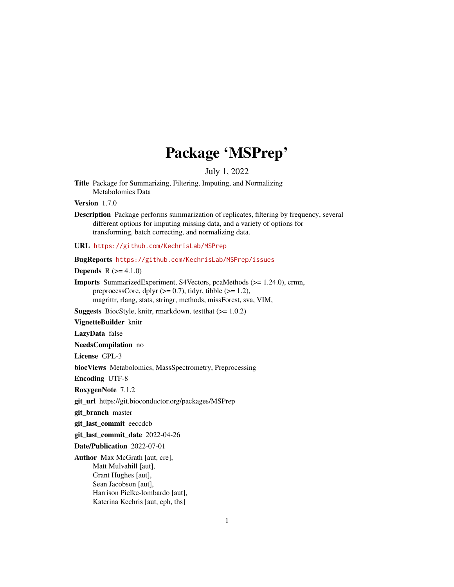# Package 'MSPrep'

July 1, 2022

Title Package for Summarizing, Filtering, Imputing, and Normalizing Metabolomics Data

Version 1.7.0

Description Package performs summarization of replicates, filtering by frequency, several different options for imputing missing data, and a variety of options for transforming, batch correcting, and normalizing data.

URL <https://github.com/KechrisLab/MSPrep>

BugReports <https://github.com/KechrisLab/MSPrep/issues>

**Depends** R  $(>= 4.1.0)$ 

Imports SummarizedExperiment, S4Vectors, pcaMethods (>= 1.24.0), crmn, preprocessCore, dplyr  $(>= 0.7)$ , tidyr, tibble  $(>= 1.2)$ , magrittr, rlang, stats, stringr, methods, missForest, sva, VIM,

**Suggests** BiocStyle, knitr, rmarkdown, test that  $(>= 1.0.2)$ 

VignetteBuilder knitr

LazyData false

NeedsCompilation no

License GPL-3

biocViews Metabolomics, MassSpectrometry, Preprocessing

Encoding UTF-8

RoxygenNote 7.1.2

git\_url https://git.bioconductor.org/packages/MSPrep

git\_branch master

git\_last\_commit eeccdcb

git\_last\_commit\_date 2022-04-26

Date/Publication 2022-07-01

Author Max McGrath [aut, cre], Matt Mulvahill [aut], Grant Hughes [aut], Sean Jacobson [aut], Harrison Pielke-lombardo [aut], Katerina Kechris [aut, cph, ths]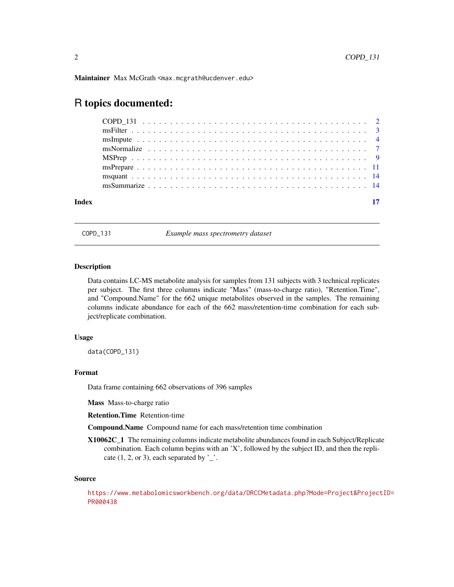<span id="page-1-0"></span>Maintainer Max McGrath <max.mcgrath@ucdenver.edu>

## R topics documented:

| Index |  |  |  |  |  |  |  |  |  |  |  |  |  |  |  |  |  |  |
|-------|--|--|--|--|--|--|--|--|--|--|--|--|--|--|--|--|--|--|
|       |  |  |  |  |  |  |  |  |  |  |  |  |  |  |  |  |  |  |

COPD\_131 *Example mass spectrometry dataset*

#### Description

Data contains LC-MS metabolite analysis for samples from 131 subjects with 3 technical replicates per subject. The first three columns indicate "Mass" (mass-to-charge ratio), "Retention.Time", and "Compound.Name" for the 662 unique metabolites observed in the samples. The remaining columns indicate abundance for each of the 662 mass/retention-time combination for each subject/replicate combination.

#### Usage

data(COPD\_131)

#### Format

Data frame containing 662 observations of 396 samples

Mass Mass-to-charge ratio

Retention.Time Retention-time

Compound.Name Compound name for each mass/retention time combination

X10062C\_1 The remaining columns indicate metabolite abundances found in each Subject/Replicate combination. Each column begins with an 'X', followed by the subject ID, and then the replicate  $(1, 2, \text{or } 3)$ , each separated by  $\cdot$ .

#### Source

[https://www.metabolomicsworkbench.org/data/DRCCMetadata.php?Mode=Project&Project](https://www.metabolomicsworkbench.org/data/DRCCMetadata.php?Mode=Project&ProjectID=PR000438)ID= [PR000438](https://www.metabolomicsworkbench.org/data/DRCCMetadata.php?Mode=Project&ProjectID=PR000438)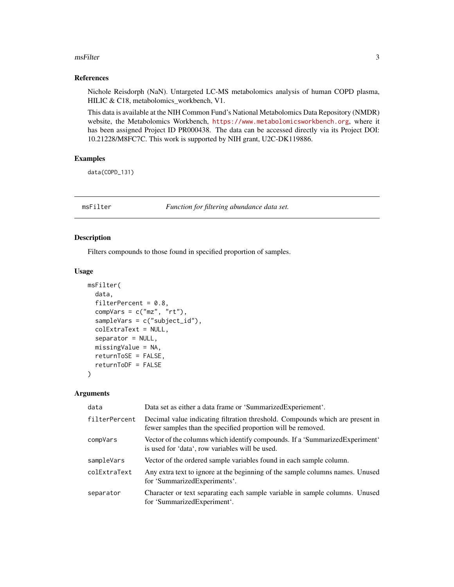#### <span id="page-2-0"></span>msFilter 3

#### References

Nichole Reisdorph (NaN). Untargeted LC-MS metabolomics analysis of human COPD plasma, HILIC & C18, metabolomics\_workbench, V1.

This data is available at the NIH Common Fund's National Metabolomics Data Repository (NMDR) website, the Metabolomics Workbench, <https://www.metabolomicsworkbench.org>, where it has been assigned Project ID PR000438. The data can be accessed directly via its Project DOI: 10.21228/M8FC7C. This work is supported by NIH grant, U2C-DK119886.

#### Examples

data(COPD\_131)

msFilter *Function for filtering abundance data set.*

#### Description

Filters compounds to those found in specified proportion of samples.

#### Usage

```
msFilter(
  data,
  filterPercent = 0.8,
  compVars = c("mz", "rt"),sampleVars = c("subject_id"),
  colExtraText = NULL,
  separator = NULL,
 missingValue = NA,
  returnToSE = FALSE,
  returnToDF = FALSE
)
```
#### Arguments

| data          | Data set as either a data frame or 'SummarizedExperiement'.                                                                                   |
|---------------|-----------------------------------------------------------------------------------------------------------------------------------------------|
| filterPercent | Decimal value indicating filtration threshold. Compounds which are present in<br>fewer samples than the specified proportion will be removed. |
| compVars      | Vector of the columns which identify compounds. If a 'Summarized Experiment'<br>is used for 'data', row variables will be used.               |
| sampleVars    | Vector of the ordered sample variables found in each sample column.                                                                           |
| colExtraText  | Any extra text to ignore at the beginning of the sample columns names. Unused<br>for 'SummarizedExperiments'.                                 |
| separator     | Character or text separating each sample variable in sample columns. Unused<br>for 'SummarizedExperiment'.                                    |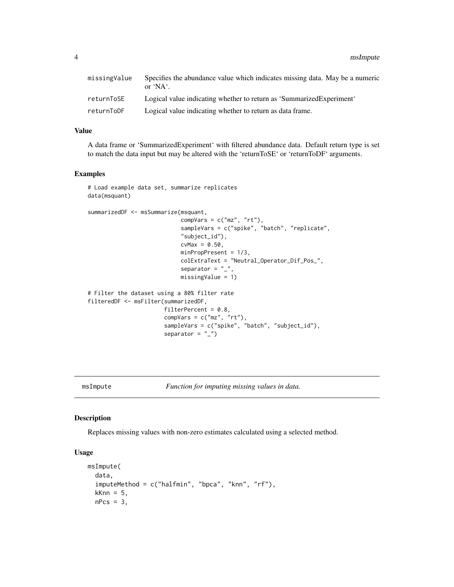<span id="page-3-0"></span>4 msImpute

| missingValue | Specifies the abundance value which indicates missing data. May be a numeric<br>or $'NA'$ . |
|--------------|---------------------------------------------------------------------------------------------|
| returnToSE   | Logical value indicating whether to return as 'Summarized Experiment'                       |
| returnToDF   | Logical value indicating whether to return as data frame.                                   |

#### Value

A data frame or 'SummarizedExperiment' with filtered abundance data. Default return type is set to match the data input but may be altered with the 'returnToSE' or 'returnToDF' arguments.

#### Examples

```
# Load example data set, summarize replicates
data(msquant)
summarizedDF <- msSummarize(msquant,
                            compVars = c("mz", "rt"),
                            sampleVars = c("spike", "batch", "replicate",
                            "subject_id"),
                            cvMax = 0.50,
                            minPropPresent = 1/3,
                            colExtraText = "Neutral_Operator_Dif_Pos_",
                            separator = "_",
                            missingValue = 1)
# Filter the dataset using a 80% filter rate
filteredDF <- msFilter(summarizedDF,
                       filterPercent = 0.8,
                       compVars = c("mz", "rt"),
                       sampleVars = c("spike", "batch", "subject_id"),
                       separator = "_")
```
msImpute *Function for imputing missing values in data.*

#### Description

Replaces missing values with non-zero estimates calculated using a selected method.

#### Usage

```
msImpute(
  data,
  imputeMethod = c("halfmin", "bpca", "knn", "rf"),
  kknn = 5,
  nPcs = 3,
```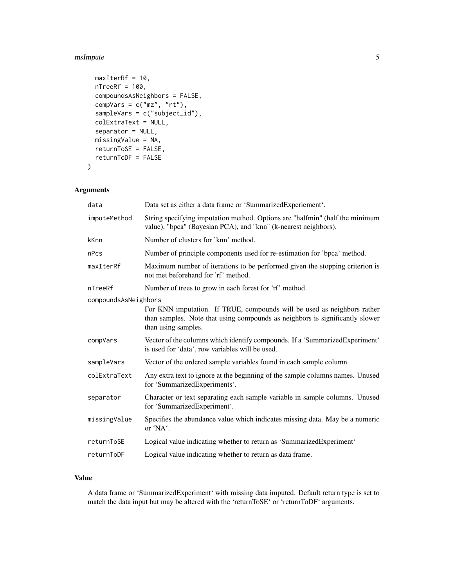#### msImpute 55 and 55 and 55 and 55 and 55 and 55 and 55 and 55 and 55 and 55 and 55 and 55 and 55 and 55 and 55 and 55 and 55 and 55 and 55 and 55 and 55 and 55 and 55 and 55 and 55 and 55 and 55 and 55 and 55 and 55 and 55

```
maxIterRf = 10,
 nTreeRf = 100,
 compoundsAsNeighbors = FALSE,
 compVars = c("mz", "rt"),
 sampleVars = c("subject_id"),
 colExtraText = NULL,
 separator = NULL,
 missingValue = NA,
 returnToSE = FALSE,
 returnToDF = FALSE
)
```
#### Arguments

| Data set as either a data frame or 'SummarizedExperiement'.                                                                                                                    |
|--------------------------------------------------------------------------------------------------------------------------------------------------------------------------------|
| String specifying imputation method. Options are "halfmin" (half the minimum<br>value), "bpca" (Bayesian PCA), and "knn" (k-nearest neighbors).                                |
| Number of clusters for 'knn' method.                                                                                                                                           |
| Number of principle components used for re-estimation for 'bpca' method.                                                                                                       |
| Maximum number of iterations to be performed given the stopping criterion is<br>not met beforehand for 'rf' method.                                                            |
| Number of trees to grow in each forest for 'rf' method.                                                                                                                        |
| compoundsAsNeighbors                                                                                                                                                           |
| For KNN imputation. If TRUE, compounds will be used as neighbors rather<br>than samples. Note that using compounds as neighbors is significantly slower<br>than using samples. |
| Vector of the columns which identify compounds. If a 'SummarizedExperiment'<br>is used for 'data', row variables will be used.                                                 |
| Vector of the ordered sample variables found in each sample column.                                                                                                            |
| Any extra text to ignore at the beginning of the sample columns names. Unused<br>for 'SummarizedExperiments'.                                                                  |
| Character or text separating each sample variable in sample columns. Unused<br>for 'SummarizedExperiment'.                                                                     |
| Specifies the abundance value which indicates missing data. May be a numeric<br>or 'NA'.                                                                                       |
| Logical value indicating whether to return as 'SummarizedExperiment'                                                                                                           |
| Logical value indicating whether to return as data frame.                                                                                                                      |
|                                                                                                                                                                                |

#### Value

A data frame or 'SummarizedExperiment' with missing data imputed. Default return type is set to match the data input but may be altered with the 'returnToSE' or 'returnToDF' arguments.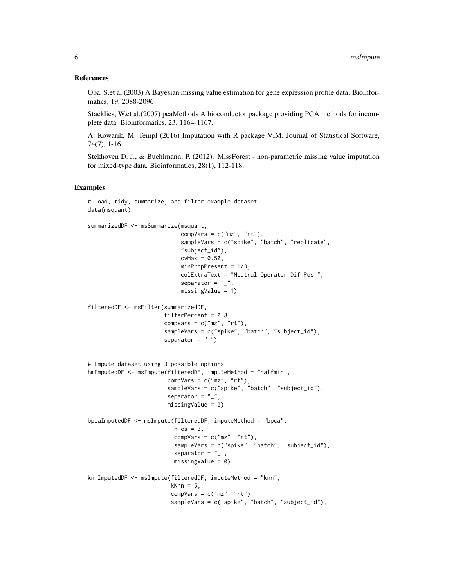#### References

Oba, S.et al.(2003) A Bayesian missing value estimation for gene expression profile data. Bioinformatics, 19, 2088-2096

Stacklies, W.et al.(2007) pcaMethods A bioconductor package providing PCA methods for incomplete data. Bioinformatics, 23, 1164-1167.

A. Kowarik, M. Templ (2016) Imputation with R package VIM. Journal of Statistical Software, 74(7), 1-16.

Stekhoven D. J., & Buehlmann, P. (2012). MissForest - non-parametric missing value imputation for mixed-type data. Bioinformatics, 28(1), 112-118.

```
# Load, tidy, summarize, and filter example dataset
data(msquant)
summarizedDF <- msSummarize(msquant,
                            compVars = c("mz", "rt"),
                            sampleVars = c("spike", "batch", "replicate",
                            "subject_id"),
                            cvMax = 0.50,
                            minPropPresent = 1/3,
                            colExtraText = "Neutral_Operator_Dif_Pos_",
                            separator = "_",
                            missingValue = 1)
filteredDF <- msFilter(summarizedDF,
                       filterPercent = 0.8,
                       compVars = c("mz", "rt"),sampleVars = c("spike", "batch", "subject_id"),
                       separator = "_")
# Impute dataset using 3 possible options
hmImputedDF <- msImpute(filteredDF, imputeMethod = "halfmin",
                        compVars = c("mz", "rt"),
                        sampleVars = c("spike", "batch", "subject_id"),
                        separator = "_",
                        missingValue = 0)
bpcaImputedDF <- msImpute(filteredDF, imputeMethod = "bpca",
                          nPcs = 3,
                          compVars = c("mz", "rt"),
                          sampleVars = c("spike", "batch", "subject_id"),
                          separator = "_"
                          missingValue = 0)
knnImputedDF <- msImpute(filteredDF, imputeMethod = "knn",
                         kKnn = 5,
                         compVars = c("mz", "rt"),
                         sampleVars = c("spike", "batch", "subject_id"),
```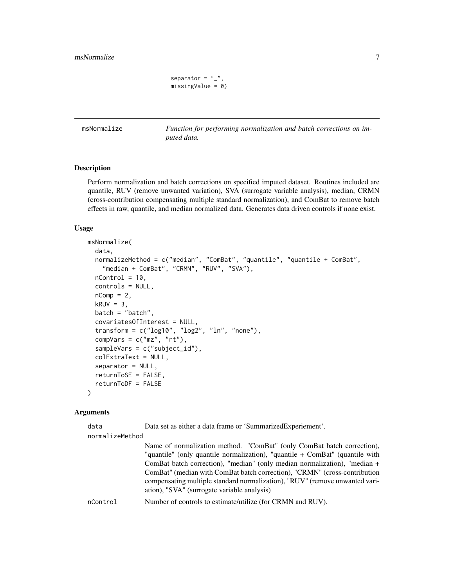```
separator = "_",
missingValue = 0)
```
<span id="page-6-0"></span>msNormalize *Function for performing normalization and batch corrections on imputed data.*

#### **Description**

Perform normalization and batch corrections on specified imputed dataset. Routines included are quantile, RUV (remove unwanted variation), SVA (surrogate variable analysis), median, CRMN (cross-contribution compensating multiple standard normalization), and ComBat to remove batch effects in raw, quantile, and median normalized data. Generates data driven controls if none exist.

#### Usage

```
msNormalize(
  data,
  normalizeMethod = c("median", "ComBat", "quantile", "quantile + ComBat",
    "median + ComBat", "CRMN", "RUV", "SVA"),
  nControl = 10,
  controls = NULL,
  nComp = 2,
  kRUV = 3,
  batch = "batch",covariatesOfInterest = NULL,
  transform = c("log10", "log2", "ln", "none"),
  compVars = c("mz", "rt"),sampleVars = c("subject_id"),
  colExtraText = NULL,
  separator = NULL,
  returnToSE = FALSE,
  returnToDF = FALSE
)
```
#### Arguments

data Data set as either a data frame or 'SummarizedExperiement'.

normalizeMethod

Name of normalization method. "ComBat" (only ComBat batch correction), "quantile" (only quantile normalization), "quantile + ComBat" (quantile with ComBat batch correction), "median" (only median normalization), "median + ComBat" (median with ComBat batch correction), "CRMN" (cross-contribution compensating multiple standard normalization), "RUV" (remove unwanted variation), "SVA" (surrogate variable analysis)

nControl Number of controls to estimate/utilize (for CRMN and RUV).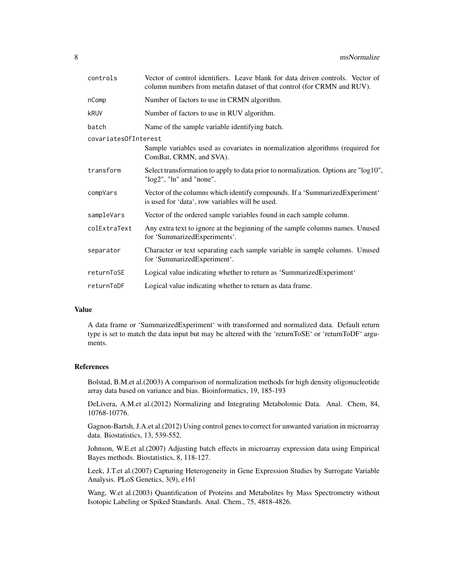| Vector of control identifiers. Leave blank for data driven controls. Vector of<br>column numbers from metafin dataset of that control (for CRMN and RUV). |
|-----------------------------------------------------------------------------------------------------------------------------------------------------------|
| Number of factors to use in CRMN algorithm.                                                                                                               |
| Number of factors to use in RUV algorithm.                                                                                                                |
| Name of the sample variable identifying batch.                                                                                                            |
| covariates0fInterest                                                                                                                                      |
| Sample variables used as covariates in normalization algorithms (required for<br>ComBat, CRMN, and SVA).                                                  |
| Select transformation to apply to data prior to normalization. Options are "log10",<br>"log2", "ln" and "none".                                           |
| Vector of the columns which identify compounds. If a 'SummarizedExperiment'<br>is used for 'data', row variables will be used.                            |
| Vector of the ordered sample variables found in each sample column.                                                                                       |
| Any extra text to ignore at the beginning of the sample columns names. Unused<br>for 'SummarizedExperiments'.                                             |
| Character or text separating each sample variable in sample columns. Unused<br>for 'SummarizedExperiment'.                                                |
| Logical value indicating whether to return as 'SummarizedExperiment'                                                                                      |
| Logical value indicating whether to return as data frame.                                                                                                 |
|                                                                                                                                                           |

#### Value

A data frame or 'SummarizedExperiment' with transformed and normalized data. Default return type is set to match the data input but may be altered with the 'returnToSE' or 'returnToDF' arguments.

#### References

Bolstad, B.M.et al.(2003) A comparison of normalization methods for high density oligonucleotide array data based on variance and bias. Bioinformatics, 19, 185-193

DeLivera, A.M.et al.(2012) Normalizing and Integrating Metabolomic Data. Anal. Chem, 84, 10768-10776.

Gagnon-Bartsh, J.A.et al.(2012) Using control genes to correct for unwanted variation in microarray data. Biostatistics, 13, 539-552.

Johnson, W.E.et al.(2007) Adjusting batch effects in microarray expression data using Empirical Bayes methods. Biostatistics, 8, 118-127.

Leek, J.T.et al.(2007) Capturing Heterogeneity in Gene Expression Studies by Surrogate Variable Analysis. PLoS Genetics, 3(9), e161

Wang, W.et al.(2003) Quantification of Proteins and Metabolites by Mass Spectrometry without Isotopic Labeling or Spiked Standards. Anal. Chem., 75, 4818-4826.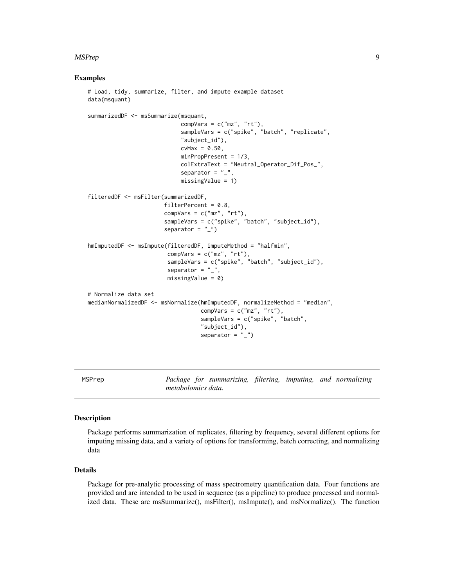#### <span id="page-8-0"></span>MSPrep 99 and 2008 and 2008 and 2008 and 2008 and 2008 and 2008 and 2008 and 2008 and 2008 and 2008 and 2008 a

#### Examples

```
# Load, tidy, summarize, filter, and impute example dataset
data(msquant)
summarizedDF <- msSummarize(msquant,
                            compVars = c("mz", "rt"),
                            sampleVars = c("spike", "batch", "replicate",
                            "subject_id"),
                            cvMax = 0.50,
                            minPropPresent = 1/3,
                            colExtraText = "Neutral_Operator_Dif_Pos_",
                            separator = "_",
                            missingValue = 1)
filteredDF <- msFilter(summarizedDF,
                       filterPercent = 0.8,
                       compVars = c("mz", "rt"),
                       sampleVars = c("spike", "batch", "subject_id"),
                       separator = "_")
hmImputedDF <- msImpute(filteredDF, imputeMethod = "halfmin",
                        compVars = c("mz", "rt"),
                        sampleVars = c("spike", "batch", "subject_id"),
                        separator = "_"
                        missingValue = 0)
# Normalize data set
medianNormalizedDF <- msNormalize(hmImputedDF, normalizeMethod = "median",
                                  compVars = c("mz", "rt"),
                                  sampleVars = c("spike", "batch",
                                  "subject_id"),
                                  separator = "_")
```
MSPrep *Package for summarizing, filtering, imputing, and normalizing metabolomics data.*

#### **Description**

Package performs summarization of replicates, filtering by frequency, several different options for imputing missing data, and a variety of options for transforming, batch correcting, and normalizing data

#### Details

Package for pre-analytic processing of mass spectrometry quantification data. Four functions are provided and are intended to be used in sequence (as a pipeline) to produce processed and normalized data. These are msSummarize(), msFilter(), msImpute(), and msNormalize(). The function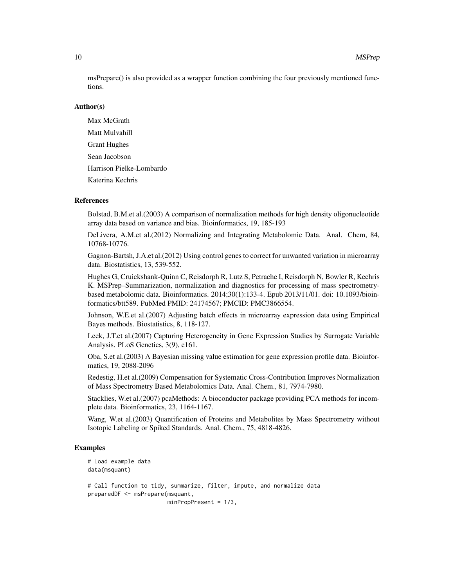msPrepare() is also provided as a wrapper function combining the four previously mentioned functions.

#### Author(s)

Max McGrath Matt Mulvahill Grant Hughes Sean Jacobson Harrison Pielke-Lombardo Katerina Kechris

#### References

Bolstad, B.M.et al.(2003) A comparison of normalization methods for high density oligonucleotide array data based on variance and bias. Bioinformatics, 19, 185-193

DeLivera, A.M.et al.(2012) Normalizing and Integrating Metabolomic Data. Anal. Chem, 84, 10768-10776.

Gagnon-Bartsh, J.A.et al.(2012) Using control genes to correct for unwanted variation in microarray data. Biostatistics, 13, 539-552.

Hughes G, Cruickshank-Quinn C, Reisdorph R, Lutz S, Petrache I, Reisdorph N, Bowler R, Kechris K. MSPrep–Summarization, normalization and diagnostics for processing of mass spectrometrybased metabolomic data. Bioinformatics. 2014;30(1):133-4. Epub 2013/11/01. doi: 10.1093/bioinformatics/btt589. PubMed PMID: 24174567; PMCID: PMC3866554.

Johnson, W.E.et al.(2007) Adjusting batch effects in microarray expression data using Empirical Bayes methods. Biostatistics, 8, 118-127.

Leek, J.T.et al.(2007) Capturing Heterogeneity in Gene Expression Studies by Surrogate Variable Analysis. PLoS Genetics, 3(9), e161.

Oba, S.et al.(2003) A Bayesian missing value estimation for gene expression profile data. Bioinformatics, 19, 2088-2096

Redestig, H.et al.(2009) Compensation for Systematic Cross-Contribution Improves Normalization of Mass Spectrometry Based Metabolomics Data. Anal. Chem., 81, 7974-7980.

Stacklies, W.et al.(2007) pcaMethods: A bioconductor package providing PCA methods for incomplete data. Bioinformatics, 23, 1164-1167.

Wang, W.et al.(2003) Quantification of Proteins and Metabolites by Mass Spectrometry without Isotopic Labeling or Spiked Standards. Anal. Chem., 75, 4818-4826.

```
# Load example data
data(msquant)
# Call function to tidy, summarize, filter, impute, and normalize data
preparedDF <- msPrepare(msquant,
                        minPropPresent = 1/3,
```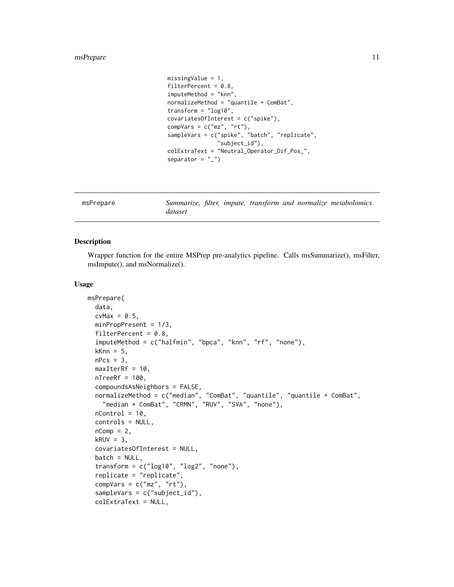#### <span id="page-10-0"></span>msPrepare 11

```
missingValue = 1,
filterPercent = 0.8,
imputeMethod = "knn",
normalizeMethod = "quantile + ComBat",
transform = "log10",
covariatesOfInterest = c("spike"),
compVars = c("mz", "rt"),
sampleVars = c("spike", "batch", "replicate",
               "subject_id"),
colExtraText = "Neutral_Operator_Dif_Pos_",
separator = "_")
```
msPrepare *Summarize, filter, impute, transform and normalize metabolomics dataset*

#### Description

Wrapper function for the entire MSPrep pre-analytics pipeline. Calls msSummarize(), msFilter, msImpute(), and msNormalize().

#### Usage

```
msPrepare(
 data,
 cvMax = 0.5,
 minPropPresent = 1/3,
 filterPercent = 0.8,
  imputeMethod = c("halfmin", "bpca", "knn", "rf", "none"),
  kknn = 5,
  nPcs = 3,
 maxIterRf = 10,nTreeRf = 100,
  compoundsAsNeighbors = FALSE,
 normalizeMethod = c("median", "ComBat", "quantile", "quantile + ComBat",
    "median + ComBat", "CRMN", "RUV", "SVA", "none"),
 nControl = 10,
  controls = NULL,
 nComp = 2,kRUV = 3,
  covariatesOfInterest = NULL,
 batch = NULL,transform = c("log10", "log2", "none"),replicate = "replicate",
  compVars = c("mz", "rt"),sampleVars = c("subject_id"),
  colExtraText = NULL,
```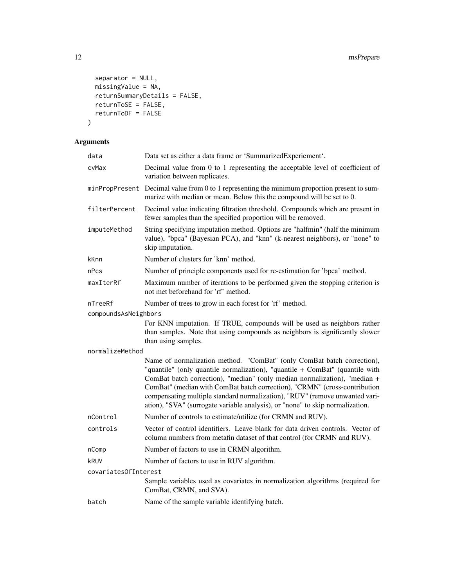```
separator = NULL,
  missingValue = NA,
  returnSummaryDetails = FALSE,
  returnToSE = FALSE,
  return \text{TODF} = \text{FALSE}\mathcal{L}
```
### Arguments

| data                 | Data set as either a data frame or 'SummarizedExperiement'.                                                                                                                                                                                                                                                                                                                                                                                                                      |
|----------------------|----------------------------------------------------------------------------------------------------------------------------------------------------------------------------------------------------------------------------------------------------------------------------------------------------------------------------------------------------------------------------------------------------------------------------------------------------------------------------------|
| cvMax                | Decimal value from 0 to 1 representing the acceptable level of coefficient of<br>variation between replicates.                                                                                                                                                                                                                                                                                                                                                                   |
| minPropPresent       | Decimal value from 0 to 1 representing the minimum proportion present to sum-<br>marize with median or mean. Below this the compound will be set to 0.                                                                                                                                                                                                                                                                                                                           |
| filterPercent        | Decimal value indicating filtration threshold. Compounds which are present in<br>fewer samples than the specified proportion will be removed.                                                                                                                                                                                                                                                                                                                                    |
| imputeMethod         | String specifying imputation method. Options are "halfmin" (half the minimum<br>value), "bpca" (Bayesian PCA), and "knn" (k-nearest neighbors), or "none" to<br>skip imputation.                                                                                                                                                                                                                                                                                                 |
| kKnn                 | Number of clusters for 'knn' method.                                                                                                                                                                                                                                                                                                                                                                                                                                             |
| nPcs                 | Number of principle components used for re-estimation for 'bpca' method.                                                                                                                                                                                                                                                                                                                                                                                                         |
| maxIterRf            | Maximum number of iterations to be performed given the stopping criterion is<br>not met beforehand for 'rf' method.                                                                                                                                                                                                                                                                                                                                                              |
| nTreeRf              | Number of trees to grow in each forest for 'rf' method.                                                                                                                                                                                                                                                                                                                                                                                                                          |
| compoundsAsNeighbors |                                                                                                                                                                                                                                                                                                                                                                                                                                                                                  |
|                      | For KNN imputation. If TRUE, compounds will be used as neighbors rather<br>than samples. Note that using compounds as neighbors is significantly slower<br>than using samples.                                                                                                                                                                                                                                                                                                   |
| normalizeMethod      |                                                                                                                                                                                                                                                                                                                                                                                                                                                                                  |
|                      | Name of normalization method. "ComBat" (only ComBat batch correction),<br>"quantile" (only quantile normalization), "quantile + ComBat" (quantile with<br>ComBat batch correction), "median" (only median normalization), "median +<br>ComBat" (median with ComBat batch correction), "CRMN" (cross-contribution<br>compensating multiple standard normalization), "RUV" (remove unwanted vari-<br>ation), "SVA" (surrogate variable analysis), or "none" to skip normalization. |
| nControl             | Number of controls to estimate/utilize (for CRMN and RUV).                                                                                                                                                                                                                                                                                                                                                                                                                       |
| controls             | Vector of control identifiers. Leave blank for data driven controls. Vector of<br>column numbers from metafin dataset of that control (for CRMN and RUV).                                                                                                                                                                                                                                                                                                                        |
| nComp                | Number of factors to use in CRMN algorithm.                                                                                                                                                                                                                                                                                                                                                                                                                                      |
| kruv                 | Number of factors to use in RUV algorithm.                                                                                                                                                                                                                                                                                                                                                                                                                                       |
| covariatesOfInterest |                                                                                                                                                                                                                                                                                                                                                                                                                                                                                  |
|                      | Sample variables used as covariates in normalization algorithms (required for<br>ComBat, CRMN, and SVA).                                                                                                                                                                                                                                                                                                                                                                         |
| batch                | Name of the sample variable identifying batch.                                                                                                                                                                                                                                                                                                                                                                                                                                   |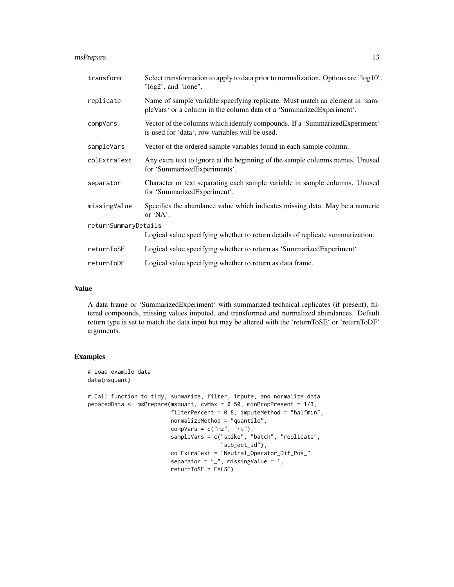#### msPrepare 13

| transform            | Select transformation to apply to data prior to normalization. Options are "log10",<br>"log2", and "none".                                           |  |  |  |  |  |
|----------------------|------------------------------------------------------------------------------------------------------------------------------------------------------|--|--|--|--|--|
| replicate            | Name of sample variable specifying replicate. Must match an element in 'sam-<br>pleVars' or a column in the column data of a 'SummarizedExperiment'. |  |  |  |  |  |
| compVars             | Vector of the columns which identify compounds. If a 'SummarizedExperiment'<br>is used for 'data', row variables will be used.                       |  |  |  |  |  |
| sampleVars           | Vector of the ordered sample variables found in each sample column.                                                                                  |  |  |  |  |  |
| colExtraText         | Any extra text to ignore at the beginning of the sample columns names. Unused<br>for 'SummarizedExperiments'.                                        |  |  |  |  |  |
| separator            | Character or text separating each sample variable in sample columns. Unused<br>for 'SummarizedExperiment'.                                           |  |  |  |  |  |
| missingValue         | Specifies the abundance value which indicates missing data. May be a numeric<br>or 'NA'.                                                             |  |  |  |  |  |
| returnSummaryDetails |                                                                                                                                                      |  |  |  |  |  |
|                      | Logical value specifying whether to return details of replicate summarization.                                                                       |  |  |  |  |  |
| returnToSE           | Logical value specifying whether to return as 'SummarizedExperiment'                                                                                 |  |  |  |  |  |
| returnToDF           | Logical value specifying whether to return as data frame.                                                                                            |  |  |  |  |  |

#### Value

A data frame or 'SummarizedExperiment' with summarized technical replicates (if present), filtered compounds, missing values imputed, and transformed and normalized abundances. Default return type is set to match the data input but may be altered with the 'returnToSE' or 'returnToDF' arguments.

```
# Load example data
data(msquant)
# Call function to tidy, summarize, filter, impute, and normalize data
peparedData <- msPrepare(msquant, cvMax = 0.50, minPropPresent = 1/3,
                        filterPercent = 0.8, imputeMethod = "halfmin",
                         normalizeMethod = "quantile",
                         compVars = c("mz", "rt"),
                         sampleVars = c("spike", "batch", "replicate",
                                        "subject_id"),
                         colExtraText = "Neutral_Operator_Dif_Pos_",
                         separator = "_", missingValue = 1,
                         returnToSE = FALSE)
```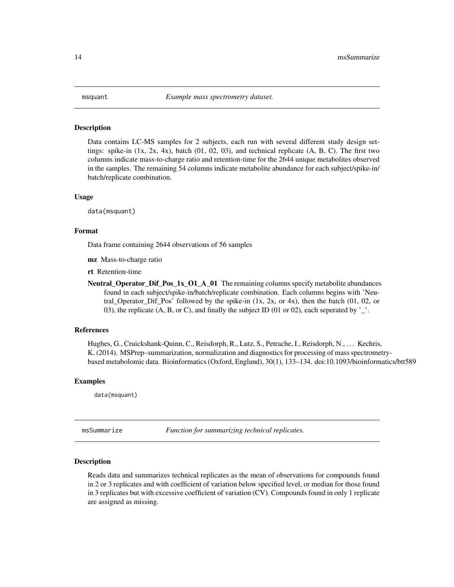#### <span id="page-13-0"></span>Description

Data contains LC-MS samples for 2 subjects, each run with several different study design settings: spike-in  $(1x, 2x, 4x)$ , batch  $(01, 02, 03)$ , and technical replicate  $(A, B, C)$ . The first two columns indicate mass-to-charge ratio and retention-time for the 2644 unique metabolites observed in the samples. The remaining 54 columns indicate metabolite abundance for each subject/spike-in/ batch/replicate combination.

#### Usage

data(msquant)

#### Format

Data frame containing 2644 observations of 56 samples

mz Mass-to-charge ratio

rt Retention-time

**Neutral Operator Dif Pos 1x O1 A 01** The remaining columns specify metabolite abundances found in each subject/spike-in/batch/replicate combination. Each columns begins with 'Neutral\_Operator\_Dif\_Pos' followed by the spike-in  $(1x, 2x, 0x, 4x)$ , then the batch  $(01, 02, 0x)$ 03), the replicate (A, B, or C), and finally the subject ID (01 or 02), each seperated by '\_'.

#### References

Hughes, G., Cruickshank-Quinn, C., Reisdorph, R., Lutz, S., Petrache, I., Reisdorph, N., . . . Kechris, K. (2014). MSPrep–summarization, normalization and diagnostics for processing of mass spectrometrybased metabolomic data. Bioinformatics (Oxford, England), 30(1), 133–134. doi:10.1093/bioinformatics/btt589

#### Examples

data(msquant)

msSummarize *Function for summarizing technical replicates.*

#### Description

Reads data and summarizes technical replicates as the mean of observations for compounds found in 2 or 3 replicates and with coefficient of variation below specified level, or median for those found in 3 replicates but with excessive coefficient of variation (CV). Compounds found in only 1 replicate are assigned as missing.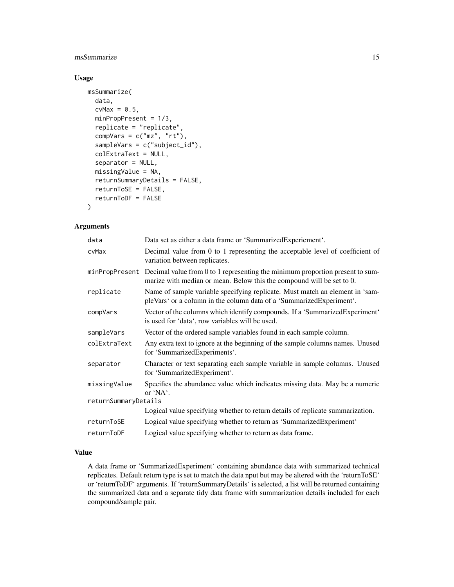#### msSummarize 15

#### Usage

```
msSummarize(
  data,
  cvMax = 0.5,
  minPropPresent = 1/3,
  replicate = "replicate",
  compVars = c("mz", "rt"),
  sampleVars = c("subject_id"),
  colExtraText = NULL,
  separator = NULL,
  missingValue = NA,
  returnSummaryDetails = FALSE,
  returnToSE = FALSE,
  returnToDF = FALSE
)
```
#### Arguments

| Data set as either a data frame or 'Summarized Experiement'.                                                                                                             |
|--------------------------------------------------------------------------------------------------------------------------------------------------------------------------|
| Decimal value from 0 to 1 representing the acceptable level of coefficient of<br>variation between replicates.                                                           |
| Decimal value from 0 to 1 representing the minimum proportion present to sum-<br>minPropPresent<br>marize with median or mean. Below this the compound will be set to 0. |
| Name of sample variable specifying replicate. Must match an element in 'sam-<br>pleVars' or a column in the column data of a 'SummarizedExperiment'.                     |
| Vector of the columns which identify compounds. If a 'Summarized Experiment'<br>is used for 'data', row variables will be used.                                          |
| Vector of the ordered sample variables found in each sample column.                                                                                                      |
| Any extra text to ignore at the beginning of the sample columns names. Unused<br>for 'SummarizedExperiments'.                                                            |
| Character or text separating each sample variable in sample columns. Unused<br>for 'SummarizedExperiment'.                                                               |
| Specifies the abundance value which indicates missing data. May be a numeric<br>or $'NA'$ .                                                                              |
| returnSummaryDetails                                                                                                                                                     |
| Logical value specifying whether to return details of replicate summarization.                                                                                           |
| Logical value specifying whether to return as 'SummarizedExperiment'                                                                                                     |
| Logical value specifying whether to return as data frame.                                                                                                                |
|                                                                                                                                                                          |

#### Value

A data frame or 'SummarizedExperiment' containing abundance data with summarized technical replicates. Default return type is set to match the data nput but may be altered with the 'returnToSE' or 'returnToDF' arguments. If 'returnSummaryDetails' is selected, a list will be returned containing the summarized data and a separate tidy data frame with summarization details included for each compound/sample pair.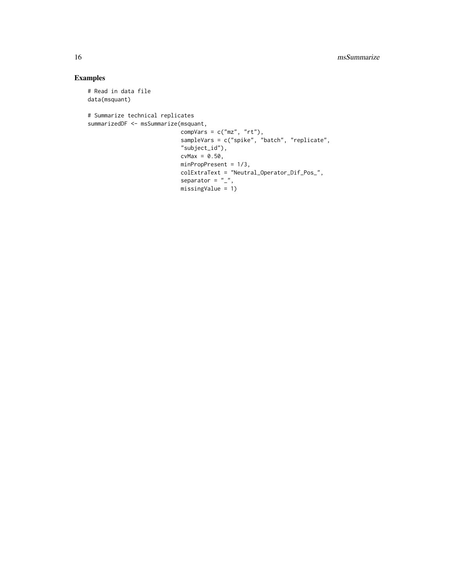```
# Read in data file
data(msquant)
# Summarize technical replicates
summarizedDF <- msSummarize(msquant,
                           compVars = c("mz", "rt"),
                            sampleVars = c("spike", "batch", "replicate",
                            "subject_id"),
                            cvMax = 0.50,
                            minPropPresent = 1/3,
                            colExtraText = "Neutral_Operator_Dif_Pos_",
                            separator = "_",
                            missingValue = 1)
```